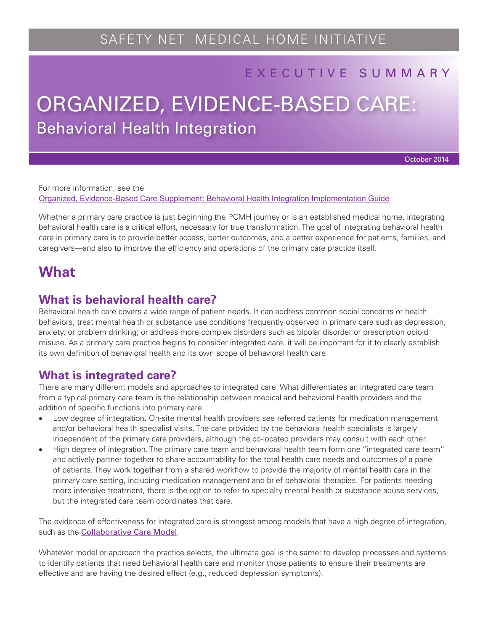### EXECUTIVE SUMMARY

# Behavioral Health Integration ORGANIZED, EVIDENCE-BASED CARE:

October 2014

For more information, see the [Organized, Evidence-Based Care Supplement: Behavioral Health Integration Implementation Guide](http://www.safetynetmedicalhome.org/sites/default/files/Implementation-Guide-Behavioral-Health-Integration.pdf)

Whether a primary care practice is just beginning the PCMH journey or is an established medical home, integrating behavioral health care is a critical effort, necessary for true transformation. The goal of integrating behavioral health care in primary care is to provide better access, better outcomes, and a better experience for patients, families, and caregivers—and also to improve the efficiency and operations of the primary care practice itself.

## **What**

#### **What is behavioral health care?**

Behavioral health care covers a wide range of patient needs. It can address common social concerns or health behaviors; treat mental health or substance use conditions frequently observed in primary care such as depression, anxiety, or problem drinking; or address more complex disorders such as bipolar disorder or prescription opioid misuse. As a primary care practice begins to consider integrated care, it will be important for it to clearly establish its own definition of behavioral health and its own scope of behavioral health care.

### **What is integrated care?**

There are many different models and approaches to integrated care. What differentiates an integrated care team from a typical primary care team is the relationship between medical and behavioral health providers and the addition of specific functions into primary care.

- • Low degree of integration. On-site mental health providers see referred patients for medication management and/or behavioral health specialist visits. The care provided by the behavioral health specialists is largely independent of the primary care providers, although the co-located providers may consult with each other.
- High degree of integration. The primary care team and behavioral health team form one "integrated care team" and actively partner together to share accountability for the total health care needs and outcomes of a panel of patients. They work together from a shared workflow to provide the majority of mental health care in the primary care setting, including medication management and brief behavioral therapies. For patients needing more intensive treatment, there is the option to refer to specialty mental health or substance abuse services, but the integrated care team coordinates that care.

The evidence of effectiveness for integrated care is strongest among models that have a high degree of integration, such as the [Collaborative Care Model](http://aims.uw.edu/collaborative-care).

Whatever model or approach the practice selects, the ultimate goal is the same: to develop processes and systems to identify patients that need behavioral health care and monitor those patients to ensure their treatments are effective and are having the desired effect (e.g., reduced depression symptoms).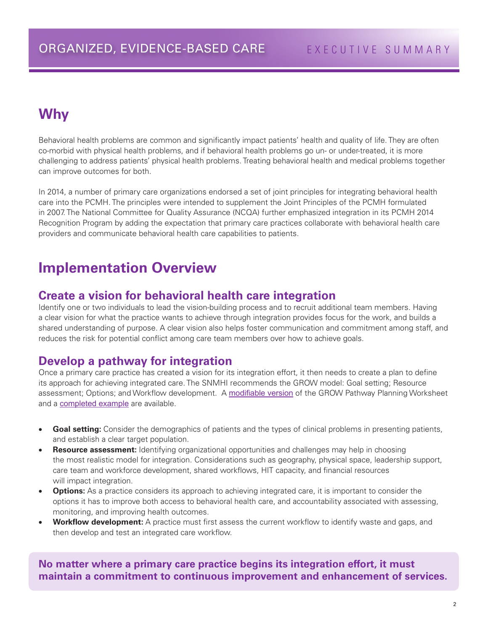# **Why**

Behavioral health problems are common and significantly impact patients' health and quality of life. They are often co-morbid with physical health problems, and if behavioral health problems go un- or under-treated, it is more challenging to address patients' physical health problems. Treating behavioral health and medical problems together can improve outcomes for both.

In 2014, a number of primary care organizations endorsed a set of joint principles for integrating behavioral health care into the PCMH. The principles were intended to supplement the Joint Principles of the PCMH formulated in 2007. The National Committee for Quality Assurance (NCQA) further emphasized integration in its PCMH 2014 Recognition Program by adding the expectation that primary care practices collaborate with behavioral health care providers and communicate behavioral health care capabilities to patients.

## **Implementation Overview**

#### **Create a vision for behavioral health care integration**

Identify one or two individuals to lead the vision-building process and to recruit additional team members. Having a clear vision for what the practice wants to achieve through integration provides focus for the work, and builds a shared understanding of purpose. A clear vision also helps foster communication and commitment among staff, and reduces the risk for potential conflict among care team members over how to achieve goals.

#### **Develop a pathway for integration**

Once a primary care practice has created a vision for its integration effort, it then needs to create a plan to define its approach for achieving integrated care. The SNMHI recommends the GROW model: Goal setting; Resource assessment; Options; and Workflow development. A [modifiable version](http://www.safetynetmedicalhome.org/sites/default/files/GROW-Pathway-Planning-Worksheet.doc) of the GROW Pathway Planning Worksheet and a **[completed example](http://www.safetynetmedicalhome.org/sites/default/files/GROW-Pathway-Planning-Example.pdf)** are available.

- **Goal setting:** Consider the demographics of patients and the types of clinical problems in presenting patients, and establish a clear target population.
- **Resource assessment:** Identifying organizational opportunities and challenges may help in choosing the most realistic model for integration. Considerations such as geography, physical space, leadership support, care team and workforce development, shared workflows, HIT capacity, and financial resources will impact integration.
- **Options:** As a practice considers its approach to achieving integrated care, it is important to consider the options it has to improve both access to behavioral health care, and accountability associated with assessing, monitoring, and improving health outcomes.
- **Workflow development:** A practice must first assess the current workflow to identify waste and gaps, and then develop and test an integrated care workflow.

**No matter where a primary care practice begins its integration effort, it must maintain a commitment to continuous improvement and enhancement of services.**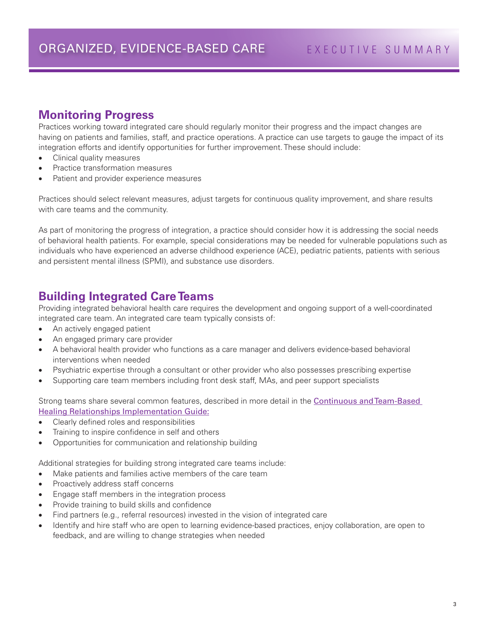#### **Monitoring Progress**

Practices working toward integrated care should regularly monitor their progress and the impact changes are having on patients and families, staff, and practice operations. A practice can use targets to gauge the impact of its integration efforts and identify opportunities for further improvement. These should include:

- Clinical quality measures
- Practice transformation measures
- Patient and provider experience measures

Practices should select relevant measures, adjust targets for continuous quality improvement, and share results with care teams and the community.

As part of monitoring the progress of integration, a practice should consider how it is addressing the social needs of behavioral health patients. For example, special considerations may be needed for vulnerable populations such as individuals who have experienced an adverse childhood experience (ACE), pediatric patients, patients with serious and persistent mental illness (SPMI), and substance use disorders.

### **Building Integrated Care Teams**

Providing integrated behavioral health care requires the development and ongoing support of a well-coordinated integrated care team. An integrated care team typically consists of:

- An actively engaged patient
- An engaged primary care provider
- • A behavioral health provider who functions as a care manager and delivers evidence-based behavioral interventions when needed
- Psychiatric expertise through a consultant or other provider who also possesses prescribing expertise
- • Supporting care team members including front desk staff, MAs, and peer support specialists

Strong teams share several common features, described in more detail in the Continuous and Team-Based [Healing Relationships Implementation Guide:](http://www.safetynetmedicalhome.org/sites/default/files/Implementation-Guide-Team-Based-Care.pdf)

- • Clearly defined roles and responsibilities
- Training to inspire confidence in self and others
- Opportunities for communication and relationship building

Additional strategies for building strong integrated care teams include:

- Make patients and families active members of the care team
- Proactively address staff concerns
- • Engage staff members in the integration process
- Provide training to build skills and confidence
- Find partners (e.g., referral resources) invested in the vision of integrated care
- • Identify and hire staff who are open to learning evidence-based practices, enjoy collaboration, are open to feedback, and are willing to change strategies when needed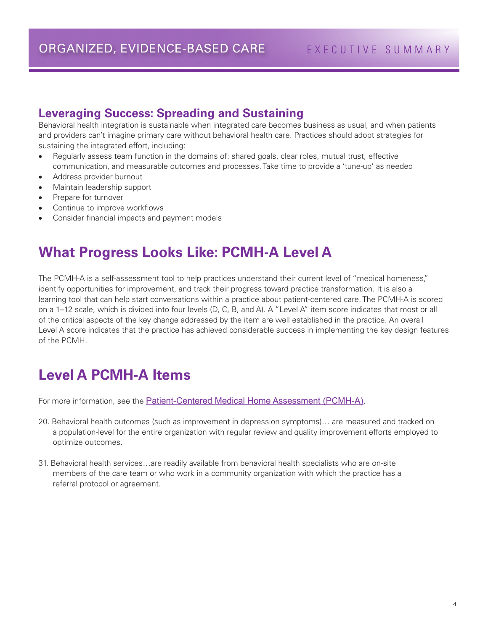#### **Leveraging Success: Spreading and Sustaining**

Behavioral health integration is sustainable when integrated care becomes business as usual, and when patients and providers can't imagine primary care without behavioral health care. Practices should adopt strategies for sustaining the integrated effort, including:

- Regularly assess team function in the domains of: shared goals, clear roles, mutual trust, effective communication, and measurable outcomes and processes. Take time to provide a 'tune-up' as needed
- Address provider burnout
- Maintain leadership support
- Prepare for turnover
- Continue to improve workflows
- Consider financial impacts and payment models

# **What Progress Looks Like: PCMH-A Level A**

The PCMH-A is a self-assessment tool to help practices understand their current level of "medical homeness," identify opportunities for improvement, and track their progress toward practice transformation. It is also a learning tool that can help start conversations within a practice about patient-centered care. The PCMH-A is scored on a 1–12 scale, which is divided into four levels (D, C, B, and A). A "Level A" item score indicates that most or all of the critical aspects of the key change addressed by the item are well established in the practice. An overall Level A score indicates that the practice has achieved considerable success in implementing the key design features of the PCMH.

# **Level A PCMH-A Items**

For more information, see the [Patient-Centered Medical Home Assessment \(PCMH-A\).](http://www.safetynetmedicalhome.org/sites/default/files/PCMH-A.pdf)

- 20. Behavioral health outcomes (such as improvement in depression symptoms)… are measured and tracked on a population-level for the entire organization with regular review and quality improvement efforts employed to optimize outcomes.
- 31. Behavioral health services…are readily available from behavioral health specialists who are on-site members of the care team or who work in a community organization with which the practice has a referral protocol or agreement.